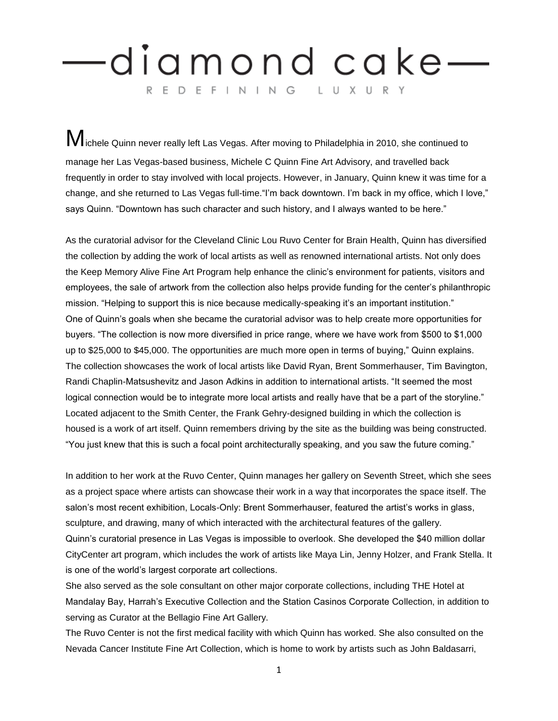## diamond cake— REDEFINING LUXURY

**ichele Quinn never really left Las Vegas. After moving to Philadelphia in 2010, she continued to** manage her Las Vegas-based business, Michele C Quinn Fine Art Advisory, and travelled back frequently in order to stay involved with local projects. However, in January, Quinn knew it was time for a change, and she returned to Las Vegas full-time."I'm back downtown. I'm back in my office, which I love," says Quinn. "Downtown has such character and such history, and I always wanted to be here."

As the curatorial advisor for the Cleveland Clinic Lou Ruvo Center for Brain Health, Quinn has diversified the collection by adding the work of local artists as well as renowned international artists. Not only does the Keep Memory Alive Fine Art Program help enhance the clinic's environment for patients, visitors and employees, the sale of artwork from the collection also helps provide funding for the center's philanthropic mission. "Helping to support this is nice because medically-speaking it's an important institution." One of Quinn's goals when she became the curatorial advisor was to help create more opportunities for buyers. "The collection is now more diversified in price range, where we have work from \$500 to \$1,000 up to \$25,000 to \$45,000. The opportunities are much more open in terms of buying," Quinn explains. The collection showcases the work of local artists like David Ryan, Brent Sommerhauser, Tim Bavington, Randi Chaplin-Matsushevitz and Jason Adkins in addition to international artists. "It seemed the most logical connection would be to integrate more local artists and really have that be a part of the storyline." Located adjacent to the Smith Center, the Frank Gehry-designed building in which the collection is housed is a work of art itself. Quinn remembers driving by the site as the building was being constructed. "You just knew that this is such a focal point architecturally speaking, and you saw the future coming."

In addition to her work at the Ruvo Center, Quinn manages her gallery on Seventh Street, which she sees as a project space where artists can showcase their work in a way that incorporates the space itself. The salon's most recent exhibition, Locals-Only: Brent Sommerhauser, featured the artist's works in glass, sculpture, and drawing, many of which interacted with the architectural features of the gallery. Quinn's curatorial presence in Las Vegas is impossible to overlook. She developed the \$40 million dollar CityCenter art program, which includes the work of artists like Maya Lin, Jenny Holzer, and Frank Stella. It is one of the world's largest corporate art collections.

She also served as the sole consultant on other major corporate collections, including THE Hotel at Mandalay Bay, Harrah's Executive Collection and the Station Casinos Corporate Collection, in addition to serving as Curator at the Bellagio Fine Art Gallery.

The Ruvo Center is not the first medical facility with which Quinn has worked. She also consulted on the Nevada Cancer Institute Fine Art Collection, which is home to work by artists such as John Baldasarri,

1